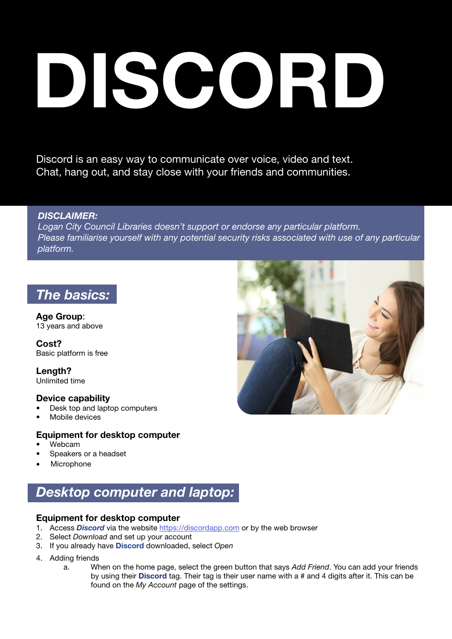# DISCORD

Discord is an easy way to communicate over voice, video and text. Chat, hang out, and stay close with your friends and communities.

### *DISCLAIMER:*

*Logan City Council Libraries doesn't support or endorse any particular platform. Please familiarise yourself with any potential security risks associated with use of any particular platform.* 

## *The basics:*

Age Group: 13 years and above

Cost? Basic platform is free

Length? Unlimited time

### Device capability

- Desk top and laptop computers
- Mobile devices

### Equipment for desktop computer

- Webcam
- Speakers or a headset
- **Microphone**

# *Desktop computer and laptop:*

### Equipment for desktop computer

- 1. Access *Discord* via the website<https://discordapp.com> or by the web browser
- 2. Select *Download* and set up your account
- 3. If you already have Discord downloaded, select *Open*
- 4. Adding friends
	- a. When on the home page, select the green button that says *Add Friend*. You can add your friends by using their Discord tag. Their tag is their user name with a # and 4 digits after it. This can be found on the *My Account* page of the settings.